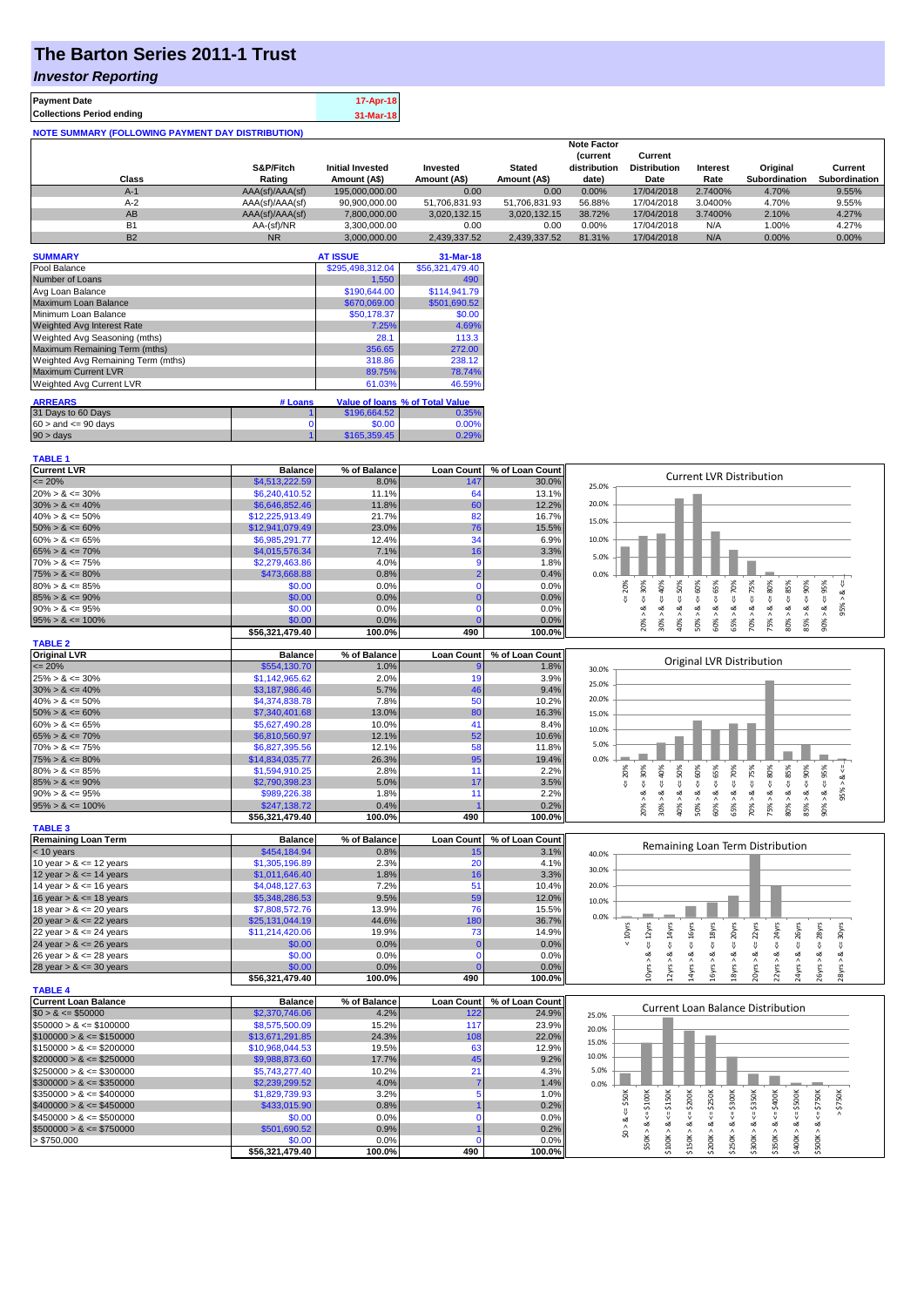# **The Barton Series 2011-1 Trust**

### *Investor Reporting*

| <b>Payment Date</b>                                      | 17-Apr-18 |
|----------------------------------------------------------|-----------|
| <b>Collections Period ending</b>                         | 31-Mar-18 |
| <b>NOTE SUMMARY (FOLLOWING PAYMENT DAY DISTRIBUTION)</b> |           |

|                |                 |                         |               |               | <b>Note Factor</b> |                     |                 |               |               |
|----------------|-----------------|-------------------------|---------------|---------------|--------------------|---------------------|-----------------|---------------|---------------|
|                |                 |                         |               |               | <b>Current</b>     | Current             |                 |               |               |
|                | S&P/Fitch       | <b>Initial Invested</b> | Invested      | <b>Stated</b> | distribution       | <b>Distribution</b> | <b>Interest</b> | Original      | Current       |
| Class          | Rating          | Amount (A\$)            | Amount (A\$)  | Amount (A\$)  | date)              | Date                | Rate            | Subordination | Subordination |
| $A-1$          | AAA(sf)/AAA(sf) | 195,000,000,00          | 0.00          | 0.00          | 0.00%              | 17/04/2018          | 2.7400%         | 4.70%         | 9.55%         |
| $A-2$          | AAA(sf)/AAA(sf) | 90,900,000.00           | 51.706.831.93 | 51.706.831.93 | 56.88%             | 17/04/2018          | 3.0400%         | 4.70%         | 9.55%         |
| AB             | AAA(sf)/AAA(sf) | 7,800,000.00            | 3.020.132.15  | 3,020,132.15  | 38.72%             | 17/04/2018          | 3.7400%         | 2.10%         | 4.27%         |
| B <sub>1</sub> | AA-(sf)/NR      | 3.300.000.00            | 0.00          | 0.00          | 0.00%              | 17/04/2018          | N/A             | 1.00%         | 4.27%         |
| <b>B2</b>      | <b>NR</b>       | 3.000.000.00            | 2.439.337.52  | 2.439.337.52  | 81.31%             | 17/04/2018          | N/A             | $0.00\%$      | 0.00%         |

| <b>SUMMARY</b>                     |         | <b>AT ISSUE</b>  | 31-Mar-18                              |
|------------------------------------|---------|------------------|----------------------------------------|
| Pool Balance                       |         | \$295,498,312.04 | \$56,321,479.40                        |
| Number of Loans                    |         | 1,550            | 490                                    |
| Avg Loan Balance                   |         | \$190,644.00     | \$114,941.79                           |
| Maximum Loan Balance               |         | \$670,069.00     | \$501.690.52                           |
| Minimum Loan Balance               |         | \$50.178.37      | \$0.00                                 |
| <b>Weighted Avg Interest Rate</b>  |         | 7.25%            | 4.69%                                  |
| Weighted Avg Seasoning (mths)      |         | 28.1             | 113.3                                  |
| Maximum Remaining Term (mths)      |         | 356.65           | 272.00                                 |
| Weighted Avg Remaining Term (mths) |         | 318.86           | 238.12                                 |
| <b>Maximum Current LVR</b>         |         | 89.75%           | 78.74%                                 |
| Weighted Avg Current LVR           |         | 61.03%           | 46.59%                                 |
| <b>ARREARS</b>                     | # Loans |                  | <b>Value of loans % of Total Value</b> |
|                                    |         |                  |                                        |
| 31 Days to 60 Days                 |         | \$196,664.52     | 0.35%                                  |
| $60 >$ and $\leq 90$ days          | 0       | \$0.00           | 0.00%                                  |
| $90 > \text{days}$                 |         | \$165,359.45     | 0.29%                                  |

| <b>TABLE 1</b>              |                                  |                |                   |                 |                                                                                                                                                                                                                                        |
|-----------------------------|----------------------------------|----------------|-------------------|-----------------|----------------------------------------------------------------------------------------------------------------------------------------------------------------------------------------------------------------------------------------|
| <b>Current LVR</b>          | <b>Balance</b>                   | % of Balance   | <b>Loan Count</b> | % of Loan Count |                                                                                                                                                                                                                                        |
| $\leq$ 20%                  | \$4,513,222.59                   | 8.0%           | 147               | 30.0%           | <b>Current LVR Distribution</b><br>25.0%                                                                                                                                                                                               |
| $20\% > 8 \le 30\%$         | \$6,240,410.52                   | 11.1%          | 64                | 13.1%           |                                                                                                                                                                                                                                        |
| $30\% > 8 \le 40\%$         | \$6,646,852.46                   | 11.8%          | 60                | 12.2%           | 20.0%                                                                                                                                                                                                                                  |
| $40\% > 8 \le 50\%$         | \$12,225,913.49                  | 21.7%          | 82                | 16.7%           |                                                                                                                                                                                                                                        |
| $50\% > 8 \le 60\%$         | \$12,941,079.49                  | 23.0%          | 76                | 15.5%           | 15.0%                                                                                                                                                                                                                                  |
| $60\% > 8 \le 65\%$         | \$6,985,291.77                   | 12.4%          | 34                | 6.9%            | 10.0%                                                                                                                                                                                                                                  |
| $65\% > 8 \le 70\%$         | \$4,015,576.34                   | 7.1%           | 16                | 3.3%            |                                                                                                                                                                                                                                        |
| $70\% > 8 \le 75\%$         | \$2,279,463.86                   | 4.0%           | 9                 | 1.8%            | 5.0%                                                                                                                                                                                                                                   |
| $75\% > 8 \le 80\%$         | \$473,668.88                     | 0.8%           | $\overline{2}$    | 0.4%            | 0.0%                                                                                                                                                                                                                                   |
| $80\% > 8 \le 85\%$         | \$0.00                           | 0.0%           | $\mathbf 0$       | 0.0%            | 20%                                                                                                                                                                                                                                    |
| $85\% > 8 \le 90\%$         | \$0.00                           | 0.0%           | $\Omega$          | 0.0%            | $\le 60\%$<br>$8 - 70%$<br>$4 = 75\%$<br>$8 - 30%$<br>$<=80\%$<br>$<=95\%$<br>$\frac{8}{2}$<br>IJ,                                                                                                                                     |
| $90\% > 8 \le 95\%$         | \$0.00                           | 0.0%           | $\mathbf 0$       | 0.0%            | 95%                                                                                                                                                                                                                                    |
| $95\% > 8 \le 100\%$        | \$0.00                           | 0.0%           |                   | 0.0%            | $30\% > 8 <= 40\%$<br>$80\% > 8 <= 85\%$<br>$40\% > 8 <= 50\%$<br>$60\% > 8 \leq 65\%$<br>$85% > 8 <= 90%$<br>50% > 8<br>70% > 8.<br>75% > 8<br>20% > 1<br>65% > i<br>90% >                                                            |
|                             | \$56,321,479.40                  | 100.0%         | 490               | 100.0%          |                                                                                                                                                                                                                                        |
| <b>TABLE 2</b>              |                                  |                |                   |                 |                                                                                                                                                                                                                                        |
| <b>Original LVR</b>         | <b>Balance</b>                   | % of Balance   | <b>Loan Count</b> | % of Loan Count |                                                                                                                                                                                                                                        |
| $\leq$ 20%                  | \$554,130.70                     | 1.0%           |                   | 1.8%            | Original LVR Distribution<br>30.0%                                                                                                                                                                                                     |
| $25\% > 8 \le 30\%$         | \$1,142,965.62                   | 2.0%           | 19                | 3.9%            |                                                                                                                                                                                                                                        |
| $30\% > 8 \le 40\%$         | \$3,187,986.46                   | 5.7%           | 46                | 9.4%            | 25.0%                                                                                                                                                                                                                                  |
| $40\% > 8 \le 50\%$         | \$4,374,838.78                   | 7.8%           | 50                | 10.2%           | 20.0%                                                                                                                                                                                                                                  |
| $50\% > 8 \le 60\%$         | \$7,340,401.68                   | 13.0%          | 80                | 16.3%           | 15.0%                                                                                                                                                                                                                                  |
| $60\% > 8 \le 65\%$         | \$5,627,490.28                   | 10.0%          | 41                | 8.4%            |                                                                                                                                                                                                                                        |
| $65\% > 8 \le 70\%$         | \$6,810,560.97                   | 12.1%          | 52                | 10.6%           | 10.0%                                                                                                                                                                                                                                  |
| $70\% > 8 \le 75\%$         | \$6,827,395.56                   | 12.1%          | 58                | 11.8%           | 5.0%                                                                                                                                                                                                                                   |
| $75\% > 8 \le 80\%$         | \$14,834,035.77                  | 26.3%          | 95                | 19.4%           | 0.0%                                                                                                                                                                                                                                   |
| $80\% > 8 \le 85\%$         | \$1,594,910.25                   | 2.8%           | 11                | 2.2%            |                                                                                                                                                                                                                                        |
| $85\% > 8 \le 90\%$         | \$2,790,398.23                   | 5.0%           | 17                | 3.5%            | $& \Leftarrow 85\%$<br>50%<br>$4 = 60\%$<br>$4 = 75\%$<br>$480\%$<br>$4 = 90\%$<br>30%<br>40%<br>65%<br>70%<br>95%<br>8 < 1<br>20%                                                                                                     |
| $90\% > 8 \le 95\%$         |                                  | 1.8%           | 11                | 2.2%            | ₩<br>₩<br>₩<br>₩<br>₩<br>95% ><br>₩<br>ಷ<br>∞<br>ಷ<br>œ<br>ಷ<br>ø<br>ಷ<br>ø<br>∞<br>ವ                                                                                                                                                  |
|                             | \$989,226.38                     |                |                   | 0.2%            |                                                                                                                                                                                                                                        |
| $95\% > 8 \le 100\%$        | \$247,138.72<br>\$56,321,479.40  | 0.4%<br>100.0% | 490               | 100.0%          | 20% ><br>30% ><br>65% ><br>70% ><br>75% ><br>$80\%$ $>$<br>85% ><br>40% ><br>50% ><br>60% ><br>$90\%$                                                                                                                                  |
| <b>TABLE 3</b>              |                                  |                |                   |                 |                                                                                                                                                                                                                                        |
| <b>Remaining Loan Term</b>  | <b>Balance</b>                   | % of Balance   | <b>Loan Count</b> | % of Loan Count |                                                                                                                                                                                                                                        |
| $<$ 10 years                | \$454,184.94                     | 0.8%           | 15                | 3.1%            | Remaining Loan Term Distribution                                                                                                                                                                                                       |
| 10 year $> 8 \le 12$ years  | \$1,305,196.89                   | 2.3%           | 20                | 4.1%            | 40.0%                                                                                                                                                                                                                                  |
| 12 year $> 8 \le 14$ years  | \$1,011,646.40                   | 1.8%           | 16                | 3.3%            | 30.0%                                                                                                                                                                                                                                  |
| 14 year $> 8 \le 16$ years  | \$4,048,127.63                   | 7.2%           | 51                | 10.4%           | 20.0%                                                                                                                                                                                                                                  |
| 16 year $> 8 \le 18$ years  | \$5,348,286.53                   | 9.5%           | 59                | 12.0%           |                                                                                                                                                                                                                                        |
| 18 year $> 8 \le 20$ years  | \$7,808,572.76                   | 13.9%          | 76                | 15.5%           | 10.0%                                                                                                                                                                                                                                  |
| 20 year $> 8 \le 22$ years  | \$25,131,044.19                  | 44.6%          | 180               | 36.7%           | 0.0%                                                                                                                                                                                                                                   |
| 22 year $> 8 \le 24$ years  | \$11,214,420.06                  | 19.9%          | 73                | 14.9%           | $\Leftarrow$ 24yrs<br>$4 = 16yrs$<br>$\leq$ 20yrs<br>$\epsilon$ = 22 $\gamma$ rs<br>$\leq$ 26yrs<br>$\leq 18$ yrs<br>$\leq$ 28 $\gamma$ rs<br>30yrs<br>< 10yrs<br>$\leq 12$ yrs                                                        |
| 24 year $> 8 \le 26$ years  | \$0.00                           | 0.0%           |                   | 0.0%            | $\leq$ 14yrs                                                                                                                                                                                                                           |
| 26 year $> 8 \le 28$ years  | \$0.00                           | 0.0%           | $\mathbf{0}$      | 0.0%            | ₩<br>ಷ<br>ಷ<br>ಷ<br>ಷ<br>oð.<br>త<br>త<br>ಷ<br>∞                                                                                                                                                                                       |
|                             | \$0.00                           | 0.0%           |                   | 0.0%            |                                                                                                                                                                                                                                        |
| 28 year $> 8 \le 30$ years  | \$56,321,479.40                  | 100.0%         | 490               | 100.0%          | 24yrs > 8<br>16yrs > 8<br>20yrs ><br>22yrs ><br>26yrs > 8<br>10yrs ><br>14yrs<br>18yrs<br>28yrs ><br>12yrs >                                                                                                                           |
| <b>TABLE 4</b>              |                                  |                |                   |                 |                                                                                                                                                                                                                                        |
| <b>Current Loan Balance</b> | <b>Balance</b>                   | % of Balance   | <b>Loan Count</b> | % of Loan Count |                                                                                                                                                                                                                                        |
| $$0 > 8 \le $50000$         | \$2,370,746.06                   | 4.2%           | 122               | 24.9%           | <b>Current Loan Balance Distribution</b><br>25.0%                                                                                                                                                                                      |
| $$50000 > 8 \le $100000$    | \$8,575,500.09                   | 15.2%          | 117               | 23.9%           |                                                                                                                                                                                                                                        |
| $$100000 > 8 \leq $150000$  | \$13,671,291.85                  | 24.3%          | 108               | 22.0%           | 20.0%                                                                                                                                                                                                                                  |
| $$150000 > 8 \leq $200000$  | \$10,968,044.53                  | 19.5%          | 63                | 12.9%           | 15.0%                                                                                                                                                                                                                                  |
| $$200000 > 8 \leq $250000$  |                                  | 17.7%          | 45                | 9.2%            | 10.0%                                                                                                                                                                                                                                  |
| $$250000 > 8 \leq $300000$  | \$9,988,873.60<br>\$5,743,277.40 | 10.2%          | 21                | 4.3%            | 5.0%                                                                                                                                                                                                                                   |
| $$300000 > 8 \leq $350000$  |                                  | 4.0%           |                   | 1.4%            |                                                                                                                                                                                                                                        |
| $$350000 > 8 \leq $400000$  | \$2,239,299.52                   | 3.2%           | 5                 |                 | 0.0%                                                                                                                                                                                                                                   |
|                             | \$1,829,739.93                   |                |                   | 1.0%            | $>$ \$750K                                                                                                                                                                                                                             |
| $$400000 > 8 \leq $450000$  | \$433,015.90                     | 0.8%           |                   | 0.2%            |                                                                                                                                                                                                                                        |
| $$450000 > 8 \le $500000$   | \$0.00                           | 0.0%           | $\Omega$          | 0.0%            | $$50K > 8 <= $100K$<br>$$150K > <= $200K$$<br>$$250K > 8 <= $300K$$<br>$$300K > 8 <= $350K$<br>$$350K > 8 <= $400K$<br>$$0 > 8 <= $50$<br>$$100K > 8 <= $150K$<br>$$200K > 8 <= $250K$<br>$$400K > 8 <= $500K$<br>$$500K > 8 <= $750K$ |
| $$500000 > 8 \leq $750000$  | \$501,690.52                     | 0.9%           |                   | 0.2%            |                                                                                                                                                                                                                                        |
| > \$750,000                 | \$0.00                           | 0.0%           | $\Omega$          | 0.0%            |                                                                                                                                                                                                                                        |
|                             | \$56,321,479.40                  | 100.0%         | 490               | 100.0%          |                                                                                                                                                                                                                                        |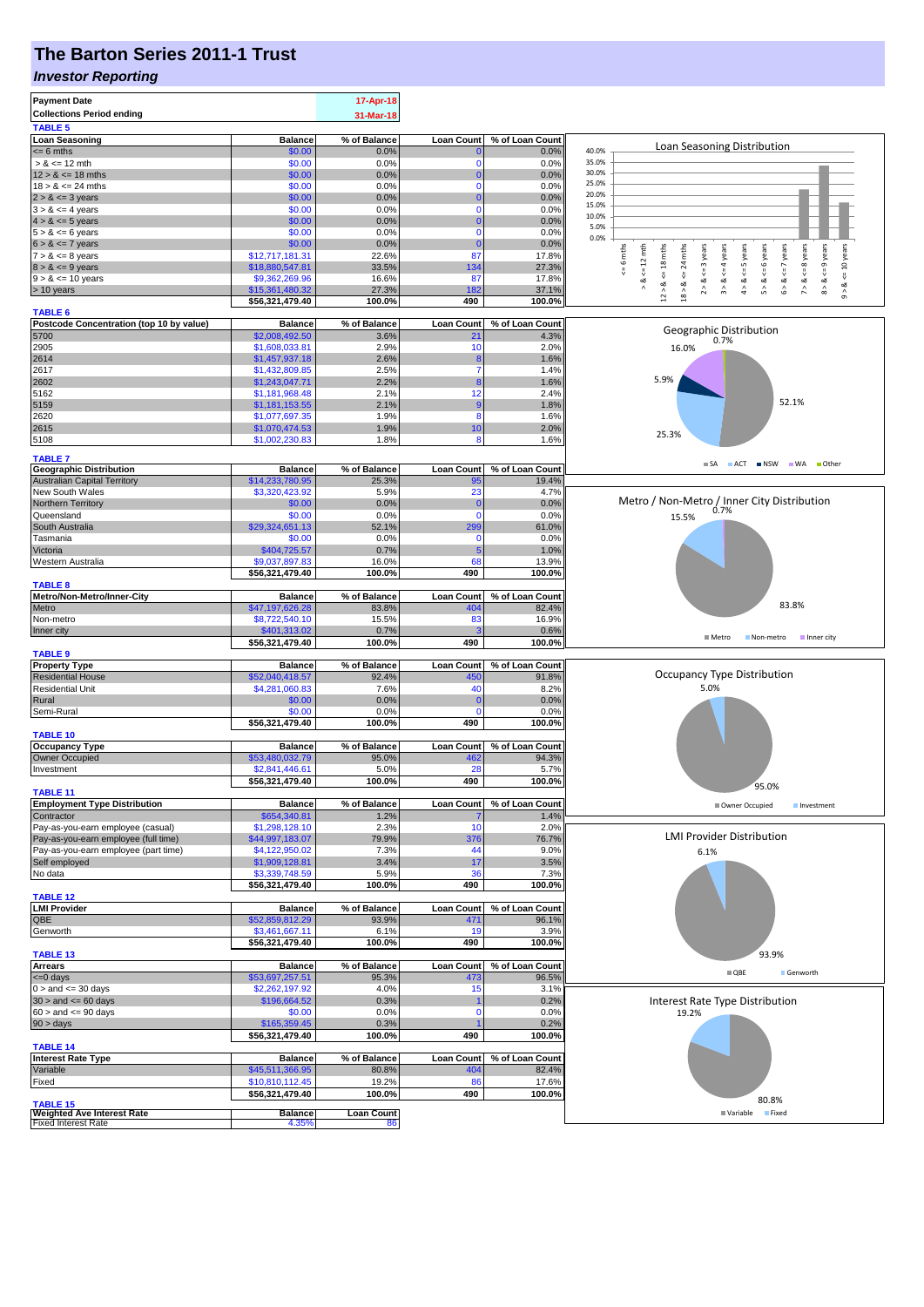# **The Barton Series 2011-1 Trust**

#### *Investor Reporting*

| <b>Payment Date</b>                                                       |                                    | 17-Apr-18               |                          |                          |                                                                                                                                                                                                             |
|---------------------------------------------------------------------------|------------------------------------|-------------------------|--------------------------|--------------------------|-------------------------------------------------------------------------------------------------------------------------------------------------------------------------------------------------------------|
| <b>Collections Period ending</b>                                          |                                    | 31-Mar-18               |                          |                          |                                                                                                                                                                                                             |
| <b>TABLE 5</b>                                                            |                                    |                         |                          |                          |                                                                                                                                                                                                             |
| <b>Loan Seasoning</b>                                                     | <b>Balance</b>                     | % of Balance            | <b>Loan Count</b>        | % of Loan Count          | Loan Seasoning Distribution                                                                                                                                                                                 |
| $= 6$ mths                                                                | \$0.00                             | 0.0%                    |                          | 0.0%                     | 40.0%<br>35.0%                                                                                                                                                                                              |
| $> 8 \le 12$ mth<br>$12 > 8 \le 18$ mths                                  | \$0.00<br>\$0.00                   | 0.0%<br>0.0%            | $\Omega$                 | 0.0%<br>0.0%             | 30.0%                                                                                                                                                                                                       |
| $18 > 8 \le 24$ mths                                                      | \$0.00                             | 0.0%                    | $\mathbf 0$              | 0.0%                     | 25.0%                                                                                                                                                                                                       |
| $2 > 8 \le 3$ years                                                       | \$0.00                             | 0.0%                    |                          | 0.0%                     | 20.0%                                                                                                                                                                                                       |
| $3 > 8 \le 4$ years                                                       | \$0.00                             | 0.0%                    | $\Omega$                 | 0.0%                     | 15.0%                                                                                                                                                                                                       |
| $4 > 8 \le 5$ years                                                       | \$0.00                             | 0.0%                    |                          | 0.0%                     | 10.0%                                                                                                                                                                                                       |
| $5 > 8 \le 6$ years                                                       | \$0.00                             | 0.0%                    | $\mathbf 0$              | 0.0%                     | 5.0%<br>0.0%                                                                                                                                                                                                |
| $6 > 8 \le 7$ years                                                       | \$0.00                             | 0.0%                    |                          | 0.0%                     |                                                                                                                                                                                                             |
| $7 > 8 \le 8$ years                                                       | \$12,717,181.31                    | 22.6%                   | 87                       | 17.8%                    | $<=8$ years<br>$8 > 8 < = 9$ years<br><= 10 years<br>6 mths<br>$12 > 8$ <= 18 mths<br>24 mths<br>$5 > 8 < 6$ years<br>$6 > 8 < z < 7$ years<br>$\leq 12$ mth<br>3 years<br>$3 > 8 < 4$ years<br>$<=5$ years |
| $8 > 8 \le 9$ years                                                       | \$18,880,547.81                    | 33.5%                   | 134                      | 27.3%                    | ₩<br>$\stackrel{\scriptscriptstyle{  }}{\mathsf{v}}$                                                                                                                                                        |
| $9 > 8 \le 10$ years                                                      | \$9,362,269.96                     | 16.6%                   | 87                       | 17.8%                    | ৺<br>∞<br>ಷ                                                                                                                                                                                                 |
| > 10 years                                                                | \$15,361,480.32<br>\$56,321,479.40 | 27.3%<br>100.0%         | 182<br>490               | 37.1%<br>100.0%          | $18 > 8$<br>$\hat{4}$<br>$\hat{\mathcal{L}}$<br>$\hat{z}$<br>$\hat{0}$                                                                                                                                      |
| <b>TABLE 6</b>                                                            |                                    |                         |                          |                          |                                                                                                                                                                                                             |
| Postcode Concentration (top 10 by value)                                  | <b>Balance</b>                     | % of Balance            | <b>Loan Count</b>        | % of Loan Count          |                                                                                                                                                                                                             |
| 5700                                                                      | \$2,008,492.50                     | 3.6%                    | 21                       | 4.3%                     | Geographic Distribution<br>0.7%                                                                                                                                                                             |
| 2905                                                                      | \$1,608,033.81                     | 2.9%                    | 10                       | 2.0%                     | 16.0%                                                                                                                                                                                                       |
| 2614                                                                      | \$1,457,937.18                     | 2.6%                    | 8                        | 1.6%                     |                                                                                                                                                                                                             |
| 2617                                                                      | \$1,432,809.85                     | 2.5%                    |                          | 1.4%                     | 5.9%                                                                                                                                                                                                        |
| 2602                                                                      | \$1,243,047.71                     | 2.2%                    |                          | 1.6%                     |                                                                                                                                                                                                             |
| 5162                                                                      | \$1,181,968.48                     | 2.1%                    | 12                       | 2.4%                     | 52.1%                                                                                                                                                                                                       |
| 5159<br>2620                                                              | \$1,181,153.55<br>\$1,077,697.35   | 2.1%<br>1.9%            | 8                        | 1.8%<br>1.6%             |                                                                                                                                                                                                             |
| 2615                                                                      | \$1,070,474.53                     | 1.9%                    | 10                       | 2.0%                     |                                                                                                                                                                                                             |
| 5108                                                                      | \$1,002,230.83                     | 1.8%                    | 8                        | 1.6%                     | 25.3%                                                                                                                                                                                                       |
|                                                                           |                                    |                         |                          |                          |                                                                                                                                                                                                             |
| <b>TABLE 7</b>                                                            |                                    |                         |                          |                          | SA ACT NSW WA Other                                                                                                                                                                                         |
| <b>Geographic Distribution</b><br><b>Australian Capital Territory</b>     | <b>Balance</b><br>\$14,233,780.95  | % of Balance<br>25.3%   | <b>Loan Count</b><br>95  | % of Loan Count<br>19.4% |                                                                                                                                                                                                             |
| New South Wales                                                           | \$3,320,423.92                     | 5.9%                    | 23                       | 4.7%                     |                                                                                                                                                                                                             |
| Northern Territory                                                        | \$0.00                             | 0.0%                    | -0                       | 0.0%                     | Metro / Non-Metro / Inner City Distribution                                                                                                                                                                 |
| Queensland                                                                | \$0.00                             | 0.0%                    | $\mathbf 0$              | 0.0%                     | 0.7%<br>15.5%                                                                                                                                                                                               |
| South Australia                                                           | \$29,324,651.13                    | 52.1%                   | 299                      | 61.0%                    |                                                                                                                                                                                                             |
| Tasmania                                                                  | \$0.00                             | 0.0%                    | $\mathbf 0$              | 0.0%                     |                                                                                                                                                                                                             |
| Victoria                                                                  | \$404,725.57                       | 0.7%                    |                          | 1.0%                     |                                                                                                                                                                                                             |
| Western Australia                                                         | \$9,037,897.83                     | 16.0%                   | 68                       | 13.9%                    |                                                                                                                                                                                                             |
|                                                                           | \$56,321,479.40                    | 100.0%                  | 490                      | 100.0%                   |                                                                                                                                                                                                             |
| <b>TABLE 8</b>                                                            |                                    |                         |                          |                          |                                                                                                                                                                                                             |
| Metro/Non-Metro/Inner-City<br>Metro                                       | <b>Balance</b><br>\$47,197,626.28  | % of Balance<br>83.8%   | <b>Loan Count</b><br>404 | % of Loan Count<br>82.4% | 83.8%                                                                                                                                                                                                       |
| Non-metro                                                                 | \$8,722,540.10                     | 15.5%                   | 83                       | 16.9%                    |                                                                                                                                                                                                             |
| Inner city                                                                | \$401,313.02                       | 0.7%                    |                          | 0.6%                     |                                                                                                                                                                                                             |
|                                                                           | \$56,321,479.40                    | 100.0%                  | 490                      | 100.0%                   | Metro<br>Non-metro<br>Inner city                                                                                                                                                                            |
| <b>TABLE 9</b>                                                            |                                    |                         |                          |                          |                                                                                                                                                                                                             |
| <b>Property Type</b>                                                      | <b>Balance</b>                     | % of Balance            | <b>Loan Count</b>        | % of Loan Count          |                                                                                                                                                                                                             |
| <b>Residential House</b>                                                  | \$52,040,418.57                    | 92.4%                   | 450                      | 91.8%                    | Occupancy Type Distribution                                                                                                                                                                                 |
| <b>Residential Unit</b>                                                   | \$4,281,060.83                     | 7.6%                    | 40                       | 8.2%                     | 5.0%                                                                                                                                                                                                        |
| Rural                                                                     | \$0.00                             | 0.0%                    |                          | 0.0%                     |                                                                                                                                                                                                             |
| Semi-Rural                                                                | \$0.00                             | 0.0%<br>100.0%          | $\Omega$<br>490          | 0.0%                     |                                                                                                                                                                                                             |
| <b>TABLE 10</b>                                                           | \$56,321,479.40                    |                         |                          | 100.0%                   |                                                                                                                                                                                                             |
| Occupancy Type                                                            | <b>Balance</b>                     | % of Balance            | <b>Loan Count</b>        | % of Loan Count          |                                                                                                                                                                                                             |
| Owner Occupied                                                            | \$53,480,032.79                    | 95.0%                   | 462                      | 94.3%                    |                                                                                                                                                                                                             |
| Investment                                                                | \$2,841,446.61                     | 5.0%                    | 28                       | 5.7%                     |                                                                                                                                                                                                             |
|                                                                           | \$56,321,479.40                    | 100.0%                  | 490                      | 100.0%                   | 95.0%                                                                                                                                                                                                       |
| <b>TABLE 11</b>                                                           |                                    |                         |                          |                          |                                                                                                                                                                                                             |
| <b>Employment Type Distribution</b>                                       | <b>Balance</b>                     | % of Balance            | <b>Loan Count</b>        | % of Loan Count          | Owner Occupied<br>Investment                                                                                                                                                                                |
| Contractor                                                                | \$654,340.81                       | 1.2%                    |                          | 1.4%                     |                                                                                                                                                                                                             |
| Pay-as-you-earn employee (casual)<br>Pay-as-you-earn employee (full time) | \$1,298,128.10<br>\$44,997,183.07  | 2.3%<br>79.9%           | 10<br>376                | 2.0%<br>76.7%            | <b>LMI Provider Distribution</b>                                                                                                                                                                            |
| Pay-as-you-earn employee (part time)                                      | \$4,122,950.02                     | 7.3%                    | 44                       | 9.0%                     | 6.1%                                                                                                                                                                                                        |
| Self employed                                                             | \$1,909,128.81                     | 3.4%                    | 17                       | 3.5%                     |                                                                                                                                                                                                             |
| No data                                                                   | \$3,339,748.59                     | 5.9%                    | 36                       | 7.3%                     |                                                                                                                                                                                                             |
|                                                                           | \$56,321,479.40                    | 100.0%                  | 490                      | 100.0%                   |                                                                                                                                                                                                             |
| <b>TABLE 12</b>                                                           |                                    |                         |                          |                          |                                                                                                                                                                                                             |
| <b>LMI Provider</b>                                                       | <b>Balance</b>                     | % of Balance            | <b>Loan Count</b>        | % of Loan Count          |                                                                                                                                                                                                             |
| QBE                                                                       | \$52,859,812.29                    | 93.9%                   | 471                      | 96.1%                    |                                                                                                                                                                                                             |
| Genworth                                                                  | \$3,461,667.11<br>\$56,321,479.40  | 6.1%<br>100.0%          | 19<br>490                | 3.9%<br>100.0%           |                                                                                                                                                                                                             |
| <b>TABLE 13</b>                                                           |                                    |                         |                          |                          | 93.9%                                                                                                                                                                                                       |
| <b>Arrears</b>                                                            | <b>Balance</b>                     | % of Balance            | <b>Loan Count</b>        | % of Loan Count          |                                                                                                                                                                                                             |
| <= 0 days                                                                 | \$53,697,257.51                    | 95.3%                   | 473                      | 96.5%                    | $\blacksquare$ QBE<br>Genworth                                                                                                                                                                              |
| $0 >$ and $\leq 30$ days                                                  | \$2,262,197.92                     | 4.0%                    | 15                       | 3.1%                     |                                                                                                                                                                                                             |
| $30 >$ and $\leq 60$ days                                                 | \$196,664.52                       | 0.3%                    |                          | 0.2%                     | Interest Rate Type Distribution                                                                                                                                                                             |
| $60 >$ and $\leq 90$ days                                                 | \$0.00                             | 0.0%                    | n                        | 0.0%                     | 19.2%                                                                                                                                                                                                       |
|                                                                           |                                    | 0.3%                    |                          | 0.2%                     |                                                                                                                                                                                                             |
| $90 > \text{days}$                                                        | \$165,359.45                       |                         |                          | 100.0%                   |                                                                                                                                                                                                             |
|                                                                           | \$56,321,479.40                    | 100.0%                  | 490                      |                          |                                                                                                                                                                                                             |
| <b>TABLE 14</b>                                                           |                                    |                         |                          |                          |                                                                                                                                                                                                             |
| <b>Interest Rate Type</b>                                                 | <b>Balance</b>                     | % of Balance            | <b>Loan Count</b>        | % of Loan Count          |                                                                                                                                                                                                             |
| Variable<br>Fixed                                                         | \$45,511,366.95                    | 80.8%<br>19.2%          | 404<br>86                | 82.4%                    |                                                                                                                                                                                                             |
|                                                                           | \$10,810,112.45                    | 100.0%                  | 490                      | 17.6%<br>100.0%          |                                                                                                                                                                                                             |
| <b>TABLE 15</b>                                                           | \$56,321,479.40                    |                         |                          |                          | 80.8%                                                                                                                                                                                                       |
| <b>Weighted Ave Interest Rate</b><br><b>Fixed Interest Rate</b>           | <b>Balance</b><br>4.35%            | <b>Loan Count</b><br>86 |                          |                          | Variable Fixed                                                                                                                                                                                              |